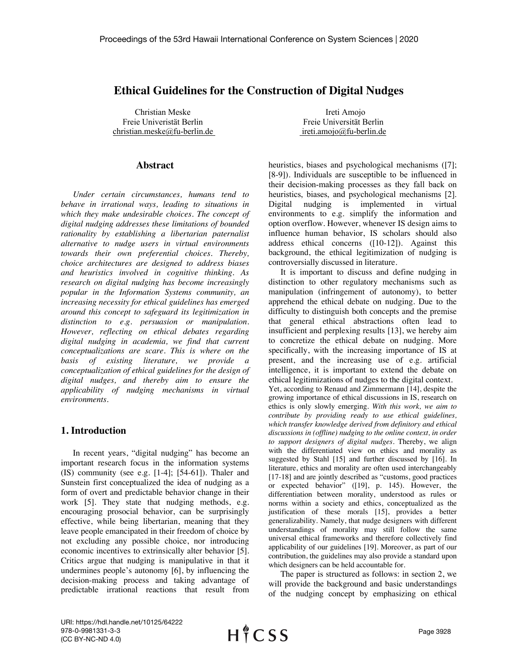# **Ethical Guidelines for the Construction of Digital Nudges**

Christian Meske Ireti Amojo Freie Univeristät Berlin Freie Universität Berlin christian.meske@fu-berlin.de ireti.amojo@fu-berlin.de

#### **Abstract**

*Under certain circumstances, humans tend to behave in irrational ways, leading to situations in which they make undesirable choices. The concept of digital nudging addresses these limitations of bounded rationality by establishing a libertarian paternalist alternative to nudge users in virtual environments towards their own preferential choices. Thereby, choice architectures are designed to address biases and heuristics involved in cognitive thinking. As research on digital nudging has become increasingly popular in the Information Systems community, an increasing necessity for ethical guidelines has emerged around this concept to safeguard its legitimization in distinction to e.g. persuasion or manipulation. However, reflecting on ethical debates regarding digital nudging in academia, we find that current conceptualizations are scare. This is where on the basis of existing literature, we provide a conceptualization of ethical guidelines for the design of digital nudges, and thereby aim to ensure the applicability of nudging mechanisms in virtual environments.* 

#### **1. Introduction**

In recent years, "digital nudging" has become an important research focus in the information systems (IS) community (see e.g. [1-4]; [54-61]). Thaler and Sunstein first conceptualized the idea of nudging as a form of overt and predictable behavior change in their work [5]. They state that nudging methods, e.g. encouraging prosocial behavior, can be surprisingly effective, while being libertarian, meaning that they leave people emancipated in their freedom of choice by not excluding any possible choice, nor introducing economic incentives to extrinsically alter behavior [5]. Critics argue that nudging is manipulative in that it undermines people's autonomy [6], by influencing the decision-making process and taking advantage of predictable irrational reactions that result from

heuristics, biases and psychological mechanisms ([7]; [8-9]). Individuals are susceptible to be influenced in their decision-making processes as they fall back on heuristics, biases, and psychological mechanisms [2]. Digital nudging is implemented in virtual environments to e.g. simplify the information and option overflow. However, whenever IS design aims to influence human behavior, IS scholars should also address ethical concerns ([10-12]). Against this background, the ethical legitimization of nudging is controversially discussed in literature.

It is important to discuss and define nudging in distinction to other regulatory mechanisms such as manipulation (infringement of autonomy), to better apprehend the ethical debate on nudging. Due to the difficulty to distinguish both concepts and the premise that general ethical abstractions often lead to insufficient and perplexing results [13], we hereby aim to concretize the ethical debate on nudging. More specifically, with the increasing importance of IS at present, and the increasing use of e.g. artificial intelligence, it is important to extend the debate on ethical legitimizations of nudges to the digital context. Yet, according to Renaud and Zimmermann [14], despite the growing importance of ethical discussions in IS, research on ethics is only slowly emerging. *With this work, we aim to contribute by providing ready to use ethical guidelines, which transfer knowledge derived from definitory and ethical discussions in (offline) nudging to the online context, in order to support designers of digital nudges.* Thereby, we align with the differentiated view on ethics and morality as suggested by Stahl [15] and further discussed by [16]. In literature, ethics and morality are often used interchangeably [17-18] and are jointly described as "customs, good practices" or expected behavior" ([19], p. 145). However, the differentiation between morality, understood as rules or norms within a society and ethics, conceptualized as the justification of these morals [15], provides a better generalizability. Namely, that nudge designers with different understandings of morality may still follow the same universal ethical frameworks and therefore collectively find applicability of our guidelines [19]. Moreover, as part of our contribution, the guidelines may also provide a standard upon which designers can be held accountable for.

The paper is structured as follows: in section 2, we will provide the background and basic understandings of the nudging concept by emphasizing on ethical

URI: https://hdl.handle.net/10125/64222 978-0-9981331-3-3 (CC BY-NC-ND 4.0)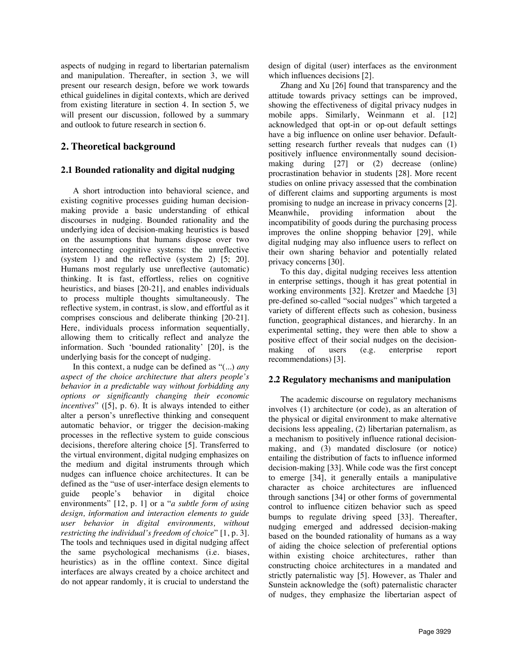aspects of nudging in regard to libertarian paternalism and manipulation. Thereafter, in section 3, we will present our research design, before we work towards ethical guidelines in digital contexts, which are derived from existing literature in section 4. In section 5, we will present our discussion, followed by a summary and outlook to future research in section 6.

## **2. Theoretical background**

### **2.1 Bounded rationality and digital nudging**

A short introduction into behavioral science, and existing cognitive processes guiding human decisionmaking provide a basic understanding of ethical discourses in nudging. Bounded rationality and the underlying idea of decision-making heuristics is based on the assumptions that humans dispose over two interconnecting cognitive systems: the unreflective (system 1) and the reflective (system 2) [5; 20]. Humans most regularly use unreflective (automatic) thinking. It is fast, effortless, relies on cognitive heuristics, and biases [20-21], and enables individuals to process multiple thoughts simultaneously. The reflective system, in contrast, is slow, and effortful as it comprises conscious and deliberate thinking [20-21]. Here, individuals process information sequentially, allowing them to critically reflect and analyze the information. Such 'bounded rationality' [20], is the underlying basis for the concept of nudging.

In this context, a nudge can be defined as "(...) *any aspect of the choice architecture that alters people's behavior in a predictable way without forbidding any options or significantly changing their economic incentives*" ([5], p. 6). It is always intended to either alter a person's unreflective thinking and consequent automatic behavior, or trigger the decision-making processes in the reflective system to guide conscious decisions, therefore altering choice [5]. Transferred to the virtual environment, digital nudging emphasizes on the medium and digital instruments through which nudges can influence choice architectures. It can be defined as the "use of user-interface design elements to guide people's behavior in digital choice environments" [12, p. 1] or a "*a subtle form of using design, information and interaction elements to guide user behavior in digital environments, without restricting the individual's freedom of choice*" [1, p. 3]. The tools and techniques used in digital nudging affect the same psychological mechanisms (i.e. biases, heuristics) as in the offline context. Since digital interfaces are always created by a choice architect and do not appear randomly, it is crucial to understand the design of digital (user) interfaces as the environment which influences decisions [2].

Zhang and Xu [26] found that transparency and the attitude towards privacy settings can be improved, showing the effectiveness of digital privacy nudges in mobile apps. Similarly, Weinmann et al. [12] acknowledged that opt-in or op-out default settings have a big influence on online user behavior. Defaultsetting research further reveals that nudges can (1) positively influence environmentally sound decisionmaking during [27] or (2) decrease (online) procrastination behavior in students [28]. More recent studies on online privacy assessed that the combination of different claims and supporting arguments is most promising to nudge an increase in privacy concerns [2]. Meanwhile, providing information about the incompatibility of goods during the purchasing process improves the online shopping behavior [29], while digital nudging may also influence users to reflect on their own sharing behavior and potentially related privacy concerns [30].

To this day, digital nudging receives less attention in enterprise settings, though it has great potential in working environments [32]. Kretzer and Maedche [3] pre-defined so-called "social nudges" which targeted a variety of different effects such as cohesion, business function, geographical distances, and hierarchy. In an experimental setting, they were then able to show a positive effect of their social nudges on the decisionmaking of users (e.g. enterprise report recommendations) [3].

#### **2.2 Regulatory mechanisms and manipulation**

The academic discourse on regulatory mechanisms involves (1) architecture (or code), as an alteration of the physical or digital environment to make alternative decisions less appealing, (2) libertarian paternalism, as a mechanism to positively influence rational decisionmaking, and (3) mandated disclosure (or notice) entailing the distribution of facts to influence informed decision-making [33]. While code was the first concept to emerge [34], it generally entails a manipulative character as choice architectures are influenced through sanctions [34] or other forms of governmental control to influence citizen behavior such as speed bumps to regulate driving speed [33]. Thereafter, nudging emerged and addressed decision-making based on the bounded rationality of humans as a way of aiding the choice selection of preferential options within existing choice architectures, rather than constructing choice architectures in a mandated and strictly paternalistic way [5]. However, as Thaler and Sunstein acknowledge the (soft) paternalistic character of nudges, they emphasize the libertarian aspect of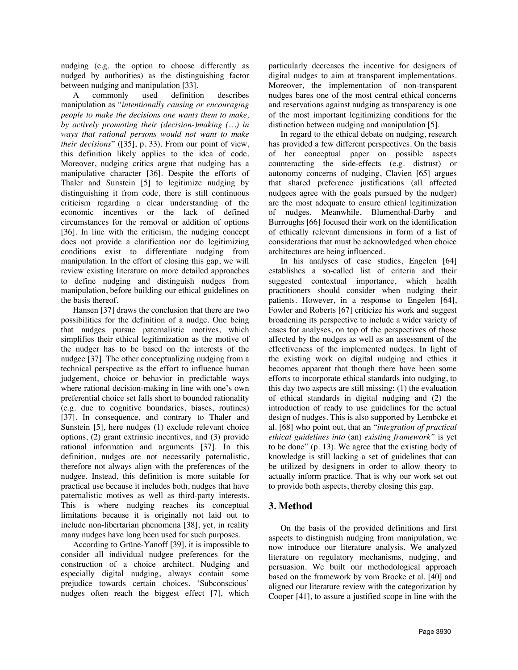nudging (e.g. the option to choose differently as nudged by authorities) as the distinguishing factor between nudging and manipulation [33].<br>A commonly used definition

A commonly used definition describes manipulation as "*intentionally causing or encouraging people to make the decisions one wants them to make, by actively promoting their (decision-)making (…) in ways that rational persons would not want to make their decisions*" ([35], p. 33). From our point of view, this definition likely applies to the idea of code. Moreover, nudging critics argue that nudging has a manipulative character [36]. Despite the efforts of Thaler and Sunstein [5] to legitimize nudging by distinguishing it from code, there is still continuous criticism regarding a clear understanding of the economic incentives or the lack of defined circumstances for the removal or addition of options [36]. In line with the criticism, the nudging concept does not provide a clarification nor do legitimizing conditions exist to differentiate nudging from manipulation. In the effort of closing this gap, we will review existing literature on more detailed approaches to define nudging and distinguish nudges from manipulation, before building our ethical guidelines on the basis thereof.

Hansen [37] draws the conclusion that there are two possibilities for the definition of a nudge. One being that nudges pursue paternalistic motives, which simplifies their ethical legitimization as the motive of the nudger has to be based on the interests of the nudgee [37]. The other conceptualizing nudging from a technical perspective as the effort to influence human judgement, choice or behavior in predictable ways where rational decision-making in line with one's own preferential choice set falls short to bounded rationality (e.g. due to cognitive boundaries, biases, routines) [37]. In consequence, and contrary to Thaler and Sunstein [5], here nudges (1) exclude relevant choice options, (2) grant extrinsic incentives, and (3) provide rational information and arguments [37]. In this definition, nudges are not necessarily paternalistic, therefore not always align with the preferences of the nudgee. Instead, this definition is more suitable for practical use because it includes both, nudges that have paternalistic motives as well as third-party interests. This is where nudging reaches its conceptual limitations because it is originally not laid out to include non-libertarian phenomena [38], yet, in reality many nudges have long been used for such purposes.

According to Grüne-Yanoff [39], it is impossible to consider all individual nudgee preferences for the construction of a choice architect. Nudging and especially digital nudging, always contain some prejudice towards certain choices. 'Subconscious' nudges often reach the biggest effect [7], which

particularly decreases the incentive for designers of digital nudges to aim at transparent implementations. Moreover, the implementation of non-transparent nudges bares one of the most central ethical concerns and reservations against nudging as transparency is one of the most important legitimizing conditions for the distinction between nudging and manipulation [5].

In regard to the ethical debate on nudging, research has provided a few different perspectives. On the basis of her conceptual paper on possible aspects counteracting the side-effects (e.g. distrust) or autonomy concerns of nudging, Clavien [65] argues that shared preference justifications (all affected nudgees agree with the goals pursued by the nudger) are the most adequate to ensure ethical legitimization of nudges. Meanwhile, Blumenthal-Darby and Burroughs [66] focused their work on the identification of ethically relevant dimensions in form of a list of considerations that must be acknowledged when choice architectures are being influenced.

In his analyses of case studies, Engelen [64] establishes a so-called list of criteria and their suggested contextual importance, which health practitioners should consider when nudging their patients. However, in a response to Engelen [64], Fowler and Roberts [67] criticize his work and suggest broadening its perspective to include a wider variety of cases for analyses, on top of the perspectives of those affected by the nudges as well as an assessment of the effectiveness of the implemented nudges. In light of the existing work on digital nudging and ethics it becomes apparent that though there have been some efforts to incorporate ethical standards into nudging, to this day two aspects are still missing: (1) the evaluation of ethical standards in digital nudging and (2) the introduction of ready to use guidelines for the actual design of nudges. This is also supported by Lembcke et al. [68] who point out, that an "*integration of practical ethical guidelines into* (an) *existing framework"* is yet to be done" (p. 13). We agree that the existing body of knowledge is still lacking a set of guidelines that can be utilized by designers in order to allow theory to actually inform practice. That is why our work set out to provide both aspects, thereby closing this gap.

## **3. Method**

On the basis of the provided definitions and first aspects to distinguish nudging from manipulation, we now introduce our literature analysis. We analyzed literature on regulatory mechanisms, nudging, and persuasion. We built our methodological approach based on the framework by vom Brocke et al. [40] and aligned our literature review with the categorization by Cooper [41], to assure a justified scope in line with the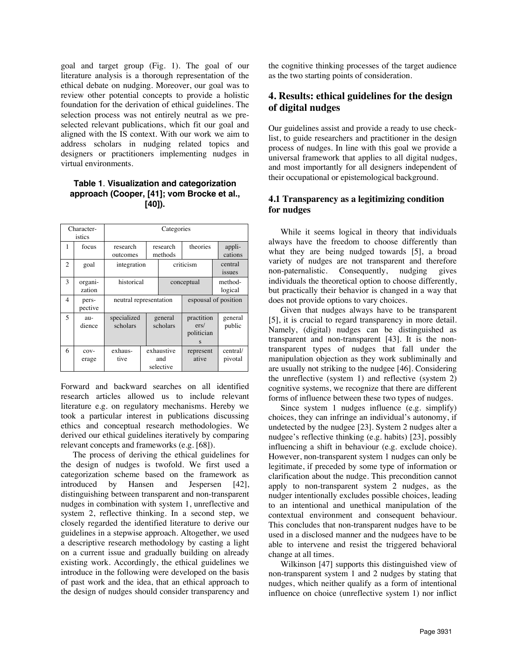goal and target group (Fig. 1). The goal of our literature analysis is a thorough representation of the ethical debate on nudging. Moreover, our goal was to review other potential concepts to provide a holistic foundation for the derivation of ethical guidelines. The selection process was not entirely neutral as we preselected relevant publications, which fit our goal and aligned with the IS context. With our work we aim to address scholars in nudging related topics and designers or practitioners implementing nudges in virtual environments.

#### **Table 1**. **Visualization and categorization approach (Cooper, [41]; vom Brocke et al., [40]).**

| Character-<br>istics |                   | Categories              |                     |                                |                                       |                     |  |
|----------------------|-------------------|-------------------------|---------------------|--------------------------------|---------------------------------------|---------------------|--|
| 1                    | focus             | research<br>outcomes    | research<br>methods |                                | theories                              | appli-<br>cations   |  |
| $\overline{2}$       | goal              | integration             |                     |                                | criticism                             | central<br>issues   |  |
| 3                    | organi-<br>zation | historical              |                     |                                | conceptual                            | method-<br>logical  |  |
| $\overline{4}$       | pers-<br>pective  | neutral representation  |                     | espousal of position           |                                       |                     |  |
| 5                    | au-<br>dience     | specialized<br>scholars | general<br>scholars |                                | practition<br>ers/<br>politician<br>S | general<br>public   |  |
| 6                    | $COV -$<br>erage  | exhaus-<br>tive         |                     | exhaustive<br>and<br>selective | represent<br>ative                    | central/<br>pivotal |  |

Forward and backward searches on all identified research articles allowed us to include relevant literature e.g. on regulatory mechanisms. Hereby we took a particular interest in publications discussing ethics and conceptual research methodologies. We derived our ethical guidelines iteratively by comparing relevant concepts and frameworks (e.g. [68]).

The process of deriving the ethical guidelines for the design of nudges is twofold. We first used a categorization scheme based on the framework as introduced by Hansen and Jespersen [42], distinguishing between transparent and non-transparent nudges in combination with system 1, unreflective and system 2, reflective thinking. In a second step, we closely regarded the identified literature to derive our guidelines in a stepwise approach. Altogether, we used a descriptive research methodology by casting a light on a current issue and gradually building on already existing work. Accordingly, the ethical guidelines we introduce in the following were developed on the basis of past work and the idea, that an ethical approach to the design of nudges should consider transparency and the cognitive thinking processes of the target audience as the two starting points of consideration.

# **4. Results: ethical guidelines for the design of digital nudges**

Our guidelines assist and provide a ready to use checklist, to guide researchers and practitioner in the design process of nudges. In line with this goal we provide a universal framework that applies to all digital nudges, and most importantly for all designers independent of their occupational or epistemological background.

### **4.1 Transparency as a legitimizing condition for nudges**

While it seems logical in theory that individuals always have the freedom to choose differently than what they are being nudged towards [5], a broad variety of nudges are not transparent and therefore non-paternalistic. Consequently, nudging gives individuals the theoretical option to choose differently, but practically their behavior is changed in a way that does not provide options to vary choices.

Given that nudges always have to be transparent [5], it is crucial to regard transparency in more detail. Namely, (digital) nudges can be distinguished as transparent and non-transparent [43]. It is the nontransparent types of nudges that fall under the manipulation objection as they work subliminally and are usually not striking to the nudgee [46]. Considering the unreflective (system 1) and reflective (system 2) cognitive systems, we recognize that there are different forms of influence between these two types of nudges.

Since system 1 nudges influence (e.g. simplify) choices, they can infringe an individual's autonomy, if undetected by the nudgee [23]. System 2 nudges alter a nudgee's reflective thinking (e.g. habits) [23], possibly influencing a shift in behaviour (e.g. exclude choice). However, non-transparent system 1 nudges can only be legitimate, if preceded by some type of information or clarification about the nudge. This precondition cannot apply to non-transparent system 2 nudges, as the nudger intentionally excludes possible choices, leading to an intentional and unethical manipulation of the contextual environment and consequent behaviour. This concludes that non-transparent nudges have to be used in a disclosed manner and the nudgees have to be able to intervene and resist the triggered behavioral change at all times.

Wilkinson [47] supports this distinguished view of non-transparent system 1 and 2 nudges by stating that nudges, which neither qualify as a form of intentional influence on choice (unreflective system 1) nor inflict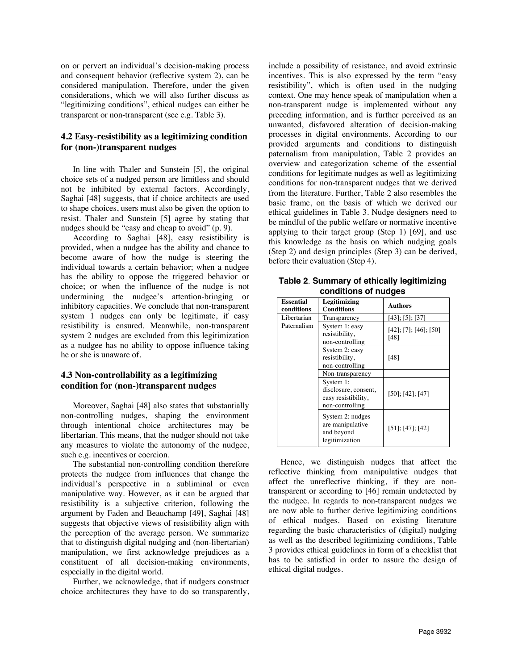on or pervert an individual's decision-making process and consequent behavior (reflective system 2), can be considered manipulation. Therefore, under the given considerations, which we will also further discuss as "legitimizing conditions", ethical nudges can either be transparent or non-transparent (see e.g. Table 3).

### **4.2 Easy-resistibility as a legitimizing condition for (non-)transparent nudges**

In line with Thaler and Sunstein [5], the original choice sets of a nudged person are limitless and should not be inhibited by external factors. Accordingly, Saghai [48] suggests, that if choice architects are used to shape choices, users must also be given the option to resist. Thaler and Sunstein [5] agree by stating that nudges should be "easy and cheap to avoid" (p. 9).

According to Saghai [48], easy resistibility is provided, when a nudgee has the ability and chance to become aware of how the nudge is steering the individual towards a certain behavior; when a nudgee has the ability to oppose the triggered behavior or choice; or when the influence of the nudge is not undermining the nudgee's attention-bringing or inhibitory capacities. We conclude that non-transparent system 1 nudges can only be legitimate, if easy resistibility is ensured. Meanwhile, non-transparent system 2 nudges are excluded from this legitimization as a nudgee has no ability to oppose influence taking he or she is unaware of.

#### **4.3 Non-controllability as a legitimizing condition for (non-)transparent nudges**

Moreover, Saghai [48] also states that substantially non-controlling nudges, shaping the environment through intentional choice architectures may be libertarian. This means, that the nudger should not take any measures to violate the autonomy of the nudgee, such e.g. incentives or coercion.

The substantial non-controlling condition therefore protects the nudgee from influences that change the individual's perspective in a subliminal or even manipulative way. However, as it can be argued that resistibility is a subjective criterion, following the argument by Faden and Beauchamp [49], Saghai [48] suggests that objective views of resistibility align with the perception of the average person. We summarize that to distinguish digital nudging and (non-libertarian) manipulation, we first acknowledge prejudices as a constituent of all decision-making environments, especially in the digital world.

Further, we acknowledge, that if nudgers construct choice architectures they have to do so transparently,

include a possibility of resistance, and avoid extrinsic incentives. This is also expressed by the term "easy resistibility", which is often used in the nudging context. One may hence speak of manipulation when a non-transparent nudge is implemented without any preceding information, and is further perceived as an unwanted, disfavored alteration of decision-making processes in digital environments. According to our provided arguments and conditions to distinguish paternalism from manipulation, Table 2 provides an overview and categorization scheme of the essential conditions for legitimate nudges as well as legitimizing conditions for non-transparent nudges that we derived from the literature. Further, Table 2 also resembles the basic frame, on the basis of which we derived our ethical guidelines in Table 3. Nudge designers need to be mindful of the public welfare or normative incentive applying to their target group (Step 1) [69], and use this knowledge as the basis on which nudging goals (Step 2) and design principles (Step 3) can be derived, before their evaluation (Step 4).

| Table 2. Summary of ethically legitimizing<br>conditions of nudges |                            |                             |  |  |  |  |
|--------------------------------------------------------------------|----------------------------|-----------------------------|--|--|--|--|
| <b>Essential</b><br>conditions                                     | Legitimizing<br>Conditions | <b>Authors</b>              |  |  |  |  |
| I ihertorion                                                       | Transparency               | $[43] \cdot [5] \cdot [37]$ |  |  |  |  |

| газеннаг<br>conditions                                                      | Legithhizhig<br><b>Conditions</b>                                    | <b>Authors</b>                |  |
|-----------------------------------------------------------------------------|----------------------------------------------------------------------|-------------------------------|--|
| Libertarian                                                                 | Transparency                                                         | $[43]$ ; [5]; [37]            |  |
| Paternalism                                                                 | System 1: easy<br>resistibility,<br>non-controlling                  | [42]; [7]; [46]; [50]<br>[48] |  |
|                                                                             | System 2: easy<br>resistibility,<br>non-controlling                  | [48]                          |  |
|                                                                             | Non-transparency                                                     |                               |  |
| System 1:<br>disclosure, consent,<br>easy resistibility,<br>non-controlling |                                                                      | [50]; [42]; [47]              |  |
|                                                                             | System 2: nudges<br>are manipulative<br>and beyond<br>legitimization | [51]; [47]; [42]              |  |

Hence, we distinguish nudges that affect the reflective thinking from manipulative nudges that affect the unreflective thinking, if they are nontransparent or according to [46] remain undetected by the nudgee. In regards to non-transparent nudges we are now able to further derive legitimizing conditions of ethical nudges. Based on existing literature regarding the basic characteristics of (digital) nudging as well as the described legitimizing conditions, Table 3 provides ethical guidelines in form of a checklist that has to be satisfied in order to assure the design of ethical digital nudges.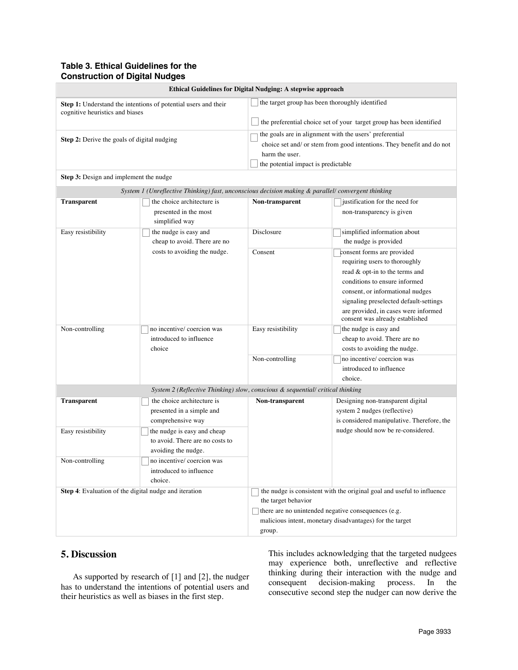## **Table 3. Ethical Guidelines for the Construction of Digital Nudges**

| Ethical Guidelines for Digital Nudging: A stepwise approach |                                                                                                             |                                                                                                                                                                                                                            |                                                                                                                                                                                                                                                                                         |  |  |  |
|-------------------------------------------------------------|-------------------------------------------------------------------------------------------------------------|----------------------------------------------------------------------------------------------------------------------------------------------------------------------------------------------------------------------------|-----------------------------------------------------------------------------------------------------------------------------------------------------------------------------------------------------------------------------------------------------------------------------------------|--|--|--|
| cognitive heuristics and biases                             | Step 1: Understand the intentions of potential users and their                                              | the target group has been thoroughly identified<br>the preferential choice set of your target group has been identified                                                                                                    |                                                                                                                                                                                                                                                                                         |  |  |  |
| Step 2: Derive the goals of digital nudging                 |                                                                                                             | the goals are in alignment with the users' preferential<br>choice set and/ or stem from good intentions. They benefit and do not<br>harm the user.<br>the potential impact is predictable                                  |                                                                                                                                                                                                                                                                                         |  |  |  |
| Step 3: Design and implement the nudge                      |                                                                                                             |                                                                                                                                                                                                                            |                                                                                                                                                                                                                                                                                         |  |  |  |
|                                                             | System 1 (Unreflective Thinking) fast, unconscious decision making & parallel/ convergent thinking          |                                                                                                                                                                                                                            |                                                                                                                                                                                                                                                                                         |  |  |  |
| <b>Transparent</b>                                          | the choice architecture is<br>presented in the most<br>simplified way                                       | Non-transparent                                                                                                                                                                                                            | justification for the need for<br>non-transparency is given                                                                                                                                                                                                                             |  |  |  |
| Easy resistibility                                          | the nudge is easy and<br>cheap to avoid. There are no                                                       | Disclosure                                                                                                                                                                                                                 | simplified information about<br>the nudge is provided                                                                                                                                                                                                                                   |  |  |  |
|                                                             | costs to avoiding the nudge.                                                                                | Consent                                                                                                                                                                                                                    | consent forms are provided<br>requiring users to thoroughly<br>read & opt-in to the terms and<br>conditions to ensure informed<br>consent, or informational nudges<br>signaling preselected default-settings<br>are provided, in cases were informed<br>consent was already established |  |  |  |
| Non-controlling                                             | no incentive/ coercion was<br>introduced to influence<br>choice                                             | Easy resistibility                                                                                                                                                                                                         | the nudge is easy and<br>cheap to avoid. There are no<br>costs to avoiding the nudge.                                                                                                                                                                                                   |  |  |  |
|                                                             |                                                                                                             | Non-controlling                                                                                                                                                                                                            | no incentive/ coercion was<br>introduced to influence<br>choice.                                                                                                                                                                                                                        |  |  |  |
|                                                             | System 2 (Reflective Thinking) slow, conscious & sequential/ critical thinking                              |                                                                                                                                                                                                                            |                                                                                                                                                                                                                                                                                         |  |  |  |
| <b>Transparent</b><br>Easy resistibility                    | the choice architecture is<br>presented in a simple and<br>comprehensive way<br>the nudge is easy and cheap | Non-transparent                                                                                                                                                                                                            | Designing non-transparent digital<br>system 2 nudges (reflective)<br>is considered manipulative. Therefore, the<br>nudge should now be re-considered.                                                                                                                                   |  |  |  |
|                                                             | to avoid. There are no costs to<br>avoiding the nudge.                                                      |                                                                                                                                                                                                                            |                                                                                                                                                                                                                                                                                         |  |  |  |
| Non-controlling                                             | no incentive/ coercion was<br>introduced to influence<br>choice.                                            |                                                                                                                                                                                                                            |                                                                                                                                                                                                                                                                                         |  |  |  |
| Step 4: Evaluation of the digital nudge and iteration       |                                                                                                             | the nudge is consistent with the original goal and useful to influence<br>the target behavior<br>there are no unintended negative consequences (e.g.<br>malicious intent, monetary disadvantages) for the target<br>group. |                                                                                                                                                                                                                                                                                         |  |  |  |

# **5. Discussion**

As supported by research of [1] and [2], the nudger has to understand the intentions of potential users and their heuristics as well as biases in the first step.

This includes acknowledging that the targeted nudgees may experience both, unreflective and reflective thinking during their interaction with the nudge and consequent decision-making process. In the consecutive second step the nudger can now derive the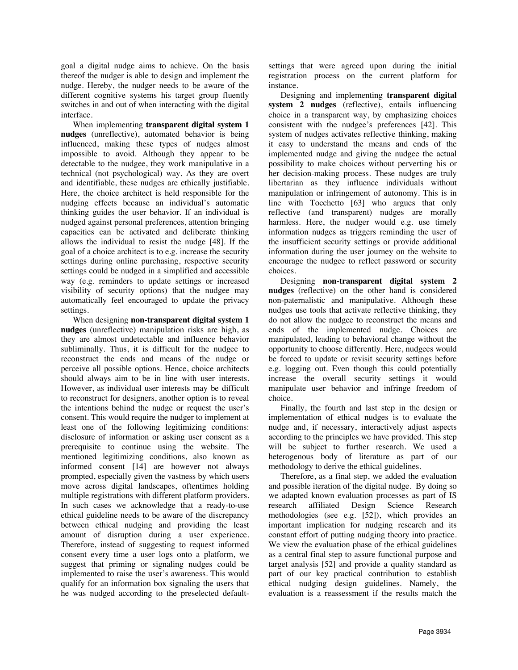goal a digital nudge aims to achieve. On the basis thereof the nudger is able to design and implement the nudge. Hereby, the nudger needs to be aware of the different cognitive systems his target group fluently switches in and out of when interacting with the digital interface.

When implementing **transparent digital system 1 nudges** (unreflective), automated behavior is being influenced, making these types of nudges almost impossible to avoid. Although they appear to be detectable to the nudgee, they work manipulative in a technical (not psychological) way. As they are overt and identifiable, these nudges are ethically justifiable. Here, the choice architect is held responsible for the nudging effects because an individual's automatic thinking guides the user behavior. If an individual is nudged against personal preferences, attention bringing capacities can be activated and deliberate thinking allows the individual to resist the nudge [48]. If the goal of a choice architect is to e.g. increase the security settings during online purchasing, respective security settings could be nudged in a simplified and accessible way (e.g. reminders to update settings or increased visibility of security options) that the nudgee may automatically feel encouraged to update the privacy settings.

When designing **non-transparent digital system 1 nudges** (unreflective) manipulation risks are high, as they are almost undetectable and influence behavior subliminally. Thus, it is difficult for the nudgee to reconstruct the ends and means of the nudge or perceive all possible options. Hence, choice architects should always aim to be in line with user interests. However, as individual user interests may be difficult to reconstruct for designers, another option is to reveal the intentions behind the nudge or request the user's consent. This would require the nudger to implement at least one of the following legitimizing conditions: disclosure of information or asking user consent as a prerequisite to continue using the website. The mentioned legitimizing conditions, also known as informed consent [14] are however not always prompted, especially given the vastness by which users move across digital landscapes, oftentimes holding multiple registrations with different platform providers. In such cases we acknowledge that a ready-to-use ethical guideline needs to be aware of the discrepancy between ethical nudging and providing the least amount of disruption during a user experience. Therefore, instead of suggesting to request informed consent every time a user logs onto a platform, we suggest that priming or signaling nudges could be implemented to raise the user's awareness. This would qualify for an information box signaling the users that he was nudged according to the preselected defaultsettings that were agreed upon during the initial registration process on the current platform for instance.

Designing and implementing **transparent digital system 2 nudges** (reflective), entails influencing choice in a transparent way, by emphasizing choices consistent with the nudgee's preferences [42]. This system of nudges activates reflective thinking, making it easy to understand the means and ends of the implemented nudge and giving the nudgee the actual possibility to make choices without perverting his or her decision-making process. These nudges are truly libertarian as they influence individuals without manipulation or infringement of autonomy. This is in line with Tocchetto [63] who argues that only reflective (and transparent) nudges are morally harmless. Here, the nudger would e.g. use timely information nudges as triggers reminding the user of the insufficient security settings or provide additional information during the user journey on the website to encourage the nudgee to reflect password or security choices.

Designing **non-transparent digital system 2 nudges** (reflective) on the other hand is considered non-paternalistic and manipulative. Although these nudges use tools that activate reflective thinking, they do not allow the nudgee to reconstruct the means and ends of the implemented nudge. Choices are manipulated, leading to behavioral change without the opportunity to choose differently. Here, nudgees would be forced to update or revisit security settings before e.g. logging out. Even though this could potentially increase the overall security settings it would manipulate user behavior and infringe freedom of choice.

Finally, the fourth and last step in the design or implementation of ethical nudges is to evaluate the nudge and, if necessary, interactively adjust aspects according to the principles we have provided. This step will be subject to further research. We used a heterogenous body of literature as part of our methodology to derive the ethical guidelines.

Therefore, as a final step, we added the evaluation and possible iteration of the digital nudge. By doing so we adapted known evaluation processes as part of IS research affiliated Design Science Research methodologies (see e.g. [52]), which provides an important implication for nudging research and its constant effort of putting nudging theory into practice. We view the evaluation phase of the ethical guidelines as a central final step to assure functional purpose and target analysis [52] and provide a quality standard as part of our key practical contribution to establish ethical nudging design guidelines. Namely, the evaluation is a reassessment if the results match the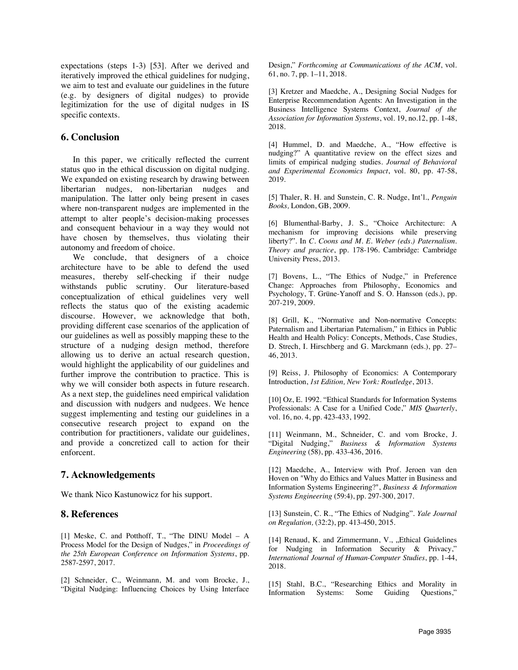expectations (steps 1-3) [53]. After we derived and iteratively improved the ethical guidelines for nudging, we aim to test and evaluate our guidelines in the future (e.g. by designers of digital nudges) to provide legitimization for the use of digital nudges in IS specific contexts.

### **6. Conclusion**

In this paper, we critically reflected the current status quo in the ethical discussion on digital nudging. We expanded on existing research by drawing between libertarian nudges, non-libertarian nudges and manipulation. The latter only being present in cases where non-transparent nudges are implemented in the attempt to alter people's decision-making processes and consequent behaviour in a way they would not have chosen by themselves, thus violating their autonomy and freedom of choice.

We conclude, that designers of a choice architecture have to be able to defend the used measures, thereby self-checking if their nudge withstands public scrutiny. Our literature-based conceptualization of ethical guidelines very well reflects the status quo of the existing academic discourse. However, we acknowledge that both, providing different case scenarios of the application of our guidelines as well as possibly mapping these to the structure of a nudging design method, therefore allowing us to derive an actual research question, would highlight the applicability of our guidelines and further improve the contribution to practice. This is why we will consider both aspects in future research. As a next step, the guidelines need empirical validation and discussion with nudgers and nudgees. We hence suggest implementing and testing our guidelines in a consecutive research project to expand on the contribution for practitioners, validate our guidelines, and provide a concretized call to action for their enforcent.

## **7. Acknowledgements**

We thank Nico Kastunowicz for his support.

#### **8. References**

[1] Meske, C. and Potthoff, T., "The DINU Model – A Process Model for the Design of Nudges," in *Proceedings of the 25th European Conference on Information Systems*, pp. 2587-2597, 2017.

[2] Schneider, C., Weinmann, M. and vom Brocke, J., "Digital Nudging: Influencing Choices by Using Interface Design," *Forthcoming at Communications of the ACM*, vol. 61, no. 7, pp. 1–11, 2018.

[3] Kretzer and Maedche, A., Designing Social Nudges for Enterprise Recommendation Agents: An Investigation in the Business Intelligence Systems Context, *Journal of the Association for Information Systems*, vol. 19, no.12, pp. 1-48, 2018.

[4] Hummel, D. and Maedche, A., "How effective is nudging?" A quantitative review on the effect sizes and limits of empirical nudging studies. *Journal of Behavioral and Experimental Economics Impact*, vol. 80, pp. 47-58, 2019.

[5] Thaler, R. H. and Sunstein, C. R. Nudge, Int'l., *Penguin Books,* London, GB, 2009.

[6] Blumenthal-Barby, J. S., "Choice Architecture: A mechanism for improving decisions while preserving liberty?". In *C. Coons and M. E. Weber (eds.) Paternalism. Theory and practice*, pp. 178-196. Cambridge: Cambridge University Press, 2013.

[7] Bovens, L., "The Ethics of Nudge," in Preference Change: Approaches from Philosophy, Economics and Psychology, T. Grüne-Yanoff and S. O. Hansson (eds.), pp. 207-219, 2009.

[8] Grill, K., "Normative and Non-normative Concepts: Paternalism and Libertarian Paternalism," in Ethics in Public Health and Health Policy: Concepts, Methods, Case Studies, D. Strech, I. Hirschberg and G. Marckmann (eds.), pp. 27– 46, 2013.

[9] Reiss, J. Philosophy of Economics: A Contemporary Introduction, *1st Edition, New York: Routledge*, 2013.

[10] Oz, E. 1992. "Ethical Standards for Information Systems Professionals: A Case for a Unified Code," *MIS Quarterly*, vol. 16, no. 4, pp. 423-433, 1992.

[11] Weinmann, M., Schneider, C. and vom Brocke, J. "Digital Nudging," *Business & Information Systems Engineering* (58), pp. 433-436, 2016.

[12] Maedche, A., Interview with Prof. Jeroen van den Hoven on "Why do Ethics and Values Matter in Business and Information Systems Engineering?", *Business & Information Systems Engineering* (59:4), pp. 297-300, 2017.

[13] Sunstein, C. R., "The Ethics of Nudging". *Yale Journal on Regulation,* (32:2), pp. 413-450, 2015.

[14] Renaud, K. and Zimmermann, V., "Ethical Guidelines for Nudging in Information Security & Privacy," *International Journal of Human-Computer Studies*, pp. 1-44, 2018.

[15] Stahl, B.C., "Researching Ethics and Morality in Information Systems: Some Guiding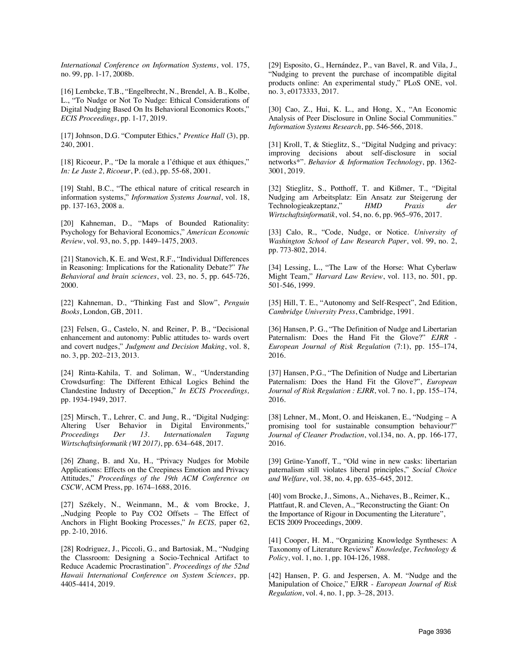*International Conference on Information Systems*, vol. 175, no. 99, pp. 1-17, 2008b.

[16] Lembcke, T.B., "Engelbrecht, N., Brendel, A. B., Kolbe, L., "To Nudge or Not To Nudge: Ethical Considerations of Digital Nudging Based On Its Behavioral Economics Roots," *ECIS Proceedings*, pp. 1-17, 2019.

[17] Johnson, D.G. "Computer Ethics," *Prentice Hall* (3), pp. 240, 2001.

[18] Ricoeur, P., "De la morale a l'éthique et aux éthiques," *In: Le Juste 2, Ricoeur*, P. (ed.), pp. 55-68, 2001.

[19] Stahl, B.C., "The ethical nature of critical research in information systems," *Information Systems Journal*, vol. 18, pp. 137-163, 2008 a.

[20] Kahneman, D., "Maps of Bounded Rationality: Psychology for Behavioral Economics," *American Economic Review*, vol. 93, no. 5, pp. 1449–1475, 2003.

[21] Stanovich, K. E. and West, R.F., "Individual Differences in Reasoning: Implications for the Rationality Debate?" *The Behavioral and brain sciences*, vol. 23, no. 5, pp. 645-726, 2000.

[22] Kahneman, D., "Thinking Fast and Slow", *Penguin Books*, London, GB, 2011.

[23] Felsen, G., Castelo, N. and Reiner, P. B., "Decisional enhancement and autonomy: Public attitudes to- wards overt and covert nudges," *Judgment and Decision Making*, vol. 8, no. 3, pp. 202–213, 2013.

[24] Rinta-Kahila, T. and Soliman, W., "Understanding Crowdsurfing: The Different Ethical Logics Behind the Clandestine Industry of Deception," *In ECIS Proceedings,*  pp. 1934-1949, 2017.

[25] Mirsch, T., Lehrer, C. and Jung, R., "Digital Nudging: Altering User Behavior in Digital Environments," *Proceedings Der 13. Internationalen Tagung Wirtschaftsinformatik (WI 2017)*, pp. 634–648, 2017.

[26] Zhang, B. and Xu, H., "Privacy Nudges for Mobile Applications: Effects on the Creepiness Emotion and Privacy Attitudes," *Proceedings of the 19th ACM Conference on CSCW*, ACM Press, pp. 1674–1688, 2016.

[27] Székely, N., Weinmann, M., & vom Brocke, J, "Nudging People to Pay CO2 Offsets - The Effect of Anchors in Flight Booking Processes," *In ECIS,* paper 62, pp. 2-10, 2016.

[28] Rodriguez, J., Piccoli, G., and Bartosiak, M., "Nudging the Classroom: Designing a Socio-Technical Artifact to Reduce Academic Procrastination". *Proceedings of the 52nd Hawaii International Conference on System Sciences*, pp. 4405-4414, 2019.

[29] Esposito, G., Hernández, P., van Bavel, R. and Vila, J., "Nudging to prevent the purchase of incompatible digital products online: An experimental study," PLoS ONE, vol. no. 3, e0173333, 2017.

[30] Cao, Z., Hui, K. L., and Hong, X., "An Economic Analysis of Peer Disclosure in Online Social Communities." *Information Systems Research*, pp. 546-566, 2018.

[31] Kroll, T, & Stieglitz, S., "Digital Nudging and privacy: improving decisions about self-disclosure in social networks\*". *Behavior & Information Technology*, pp. 1362- 3001, 2019.

[32] Stieglitz, S., Potthoff, T. and Kißmer, T., "Digital Nudging am Arbeitsplatz: Ein Ansatz zur Steigerung der Technologieakzeptanz," *HMD Praxis der Wirtschaftsinformatik*, vol. 54, no. 6, pp. 965–976, 2017.

[33] Calo, R., "Code, Nudge, or Notice. *University of Washington School of Law Research Paper*, vol. 99, no. 2, pp. 773-802, 2014.

[34] Lessing, L., "The Law of the Horse: What Cyberlaw Might Team," *Harvard Law Review*, vol. 113, no. 501, pp. 501-546, 1999.

[35] Hill, T. E., "Autonomy and Self-Respect", 2nd Edition, *Cambridge University Press*, Cambridge, 1991.

[36] Hansen, P. G., "The Definition of Nudge and Libertarian Paternalism: Does the Hand Fit the Glove?" *EJRR - European Journal of Risk Regulation* (7:1), pp. 155–174, 2016.

[37] Hansen, P.G., "The Definition of Nudge and Libertarian Paternalism: Does the Hand Fit the Glove?", *European Journal of Risk Regulation : EJRR*, vol. 7 no. 1, pp. 155–174, 2016.

[38] Lehner, M., Mont, O. and Heiskanen, E., "Nudging – A promising tool for sustainable consumption behaviour?" *Journal of Cleaner Production*, vol.134, no. A, pp. 166-177, 2016.

[39] Grüne-Yanoff, T., "Old wine in new casks: libertarian paternalism still violates liberal principles," *Social Choice and Welfare*, vol. 38, no. 4, pp. 635–645, 2012.

[40] vom Brocke, J., Simons, A., Niehaves, B., Reimer, K., Plattfaut, R. and Cleven, A., "Reconstructing the Giant: On the Importance of Rigour in Documenting the Literature", ECIS 2009 Proceedings, 2009.

[41] Cooper, H. M., "Organizing Knowledge Syntheses: A Taxonomy of Literature Reviews" *Knowledge, Technology & Policy*, vol. 1, no. 1, pp. 104-126, 1988.

[42] Hansen, P. G. and Jespersen, A. M. "Nudge and the Manipulation of Choice," EJRR - *European Journal of Risk Regulation*, vol. 4, no. 1, pp. 3–28, 2013.